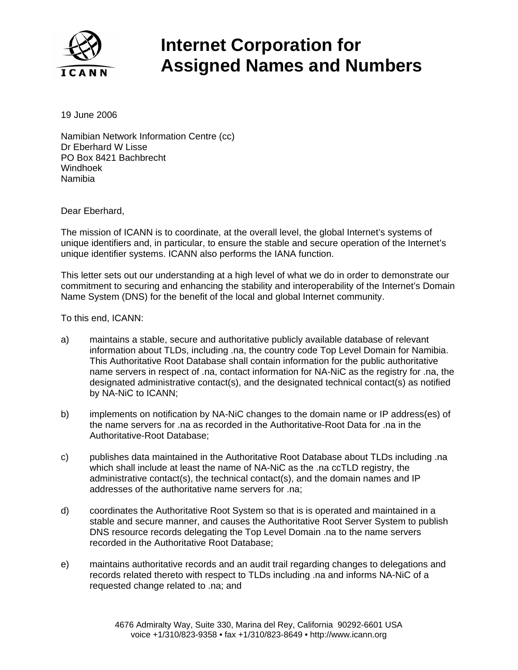

## **Internet Corporation for Assigned Names and Numbers**

19 June 2006

Namibian Network Information Centre (cc) Dr Eberhard W Lisse PO Box 8421 Bachbrecht Windhoek Namibia

Dear Eberhard,

The mission of ICANN is to coordinate, at the overall level, the global Internet's systems of unique identifiers and, in particular, to ensure the stable and secure operation of the Internet's unique identifier systems. ICANN also performs the IANA function.

This letter sets out our understanding at a high level of what we do in order to demonstrate our commitment to securing and enhancing the stability and interoperability of the Internet's Domain Name System (DNS) for the benefit of the local and global Internet community.

To this end, ICANN:

- a) maintains a stable, secure and authoritative publicly available database of relevant information about TLDs, including .na, the country code Top Level Domain for Namibia. This Authoritative Root Database shall contain information for the public authoritative name servers in respect of .na, contact information for NA-NiC as the registry for .na, the designated administrative contact(s), and the designated technical contact(s) as notified by NA-NiC to ICANN;
- b) implements on notification by NA-NiC changes to the domain name or IP address(es) of the name servers for .na as recorded in the Authoritative-Root Data for .na in the Authoritative-Root Database;
- c) publishes data maintained in the Authoritative Root Database about TLDs including .na which shall include at least the name of NA-NiC as the .na ccTLD registry, the administrative contact(s), the technical contact(s), and the domain names and IP addresses of the authoritative name servers for .na;
- d) coordinates the Authoritative Root System so that is is operated and maintained in a stable and secure manner, and causes the Authoritative Root Server System to publish DNS resource records delegating the Top Level Domain .na to the name servers recorded in the Authoritative Root Database;
- e) maintains authoritative records and an audit trail regarding changes to delegations and records related thereto with respect to TLDs including .na and informs NA-NiC of a requested change related to .na; and